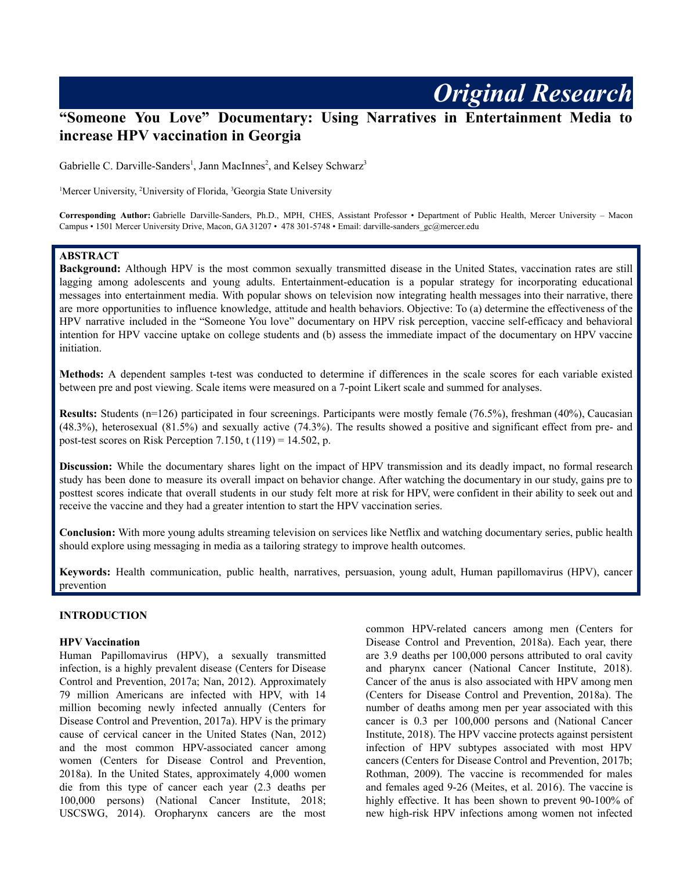# **"Someone You Love" Documentary: Using Narratives in Entertainment Media to increase HPV vaccination in Georgia**

Gabrielle C. Darville-Sanders<sup>1</sup>, Jann MacInnes<sup>2</sup>, and Kelsey Schwarz<sup>3</sup>

<sup>1</sup>Mercer University, <sup>2</sup>University of Florida, <sup>3</sup>Georgia State University

**Corresponding Author:** Gabrielle Darville-Sanders, Ph.D., MPH, CHES, Assistant Professor • Department of Public Health, Mercer University – Macon Campus • 1501 Mercer University Drive, Macon, GA 31207 • 478 301-5748 • Email: darville-sanders\_gc@mercer.edu

### **ABSTRACT**

**Background:** Although HPV is the most common sexually transmitted disease in the United States, vaccination rates are still lagging among adolescents and young adults. Entertainment-education is a popular strategy for incorporating educational messages into entertainment media. With popular shows on television now integrating health messages into their narrative, there are more opportunities to influence knowledge, attitude and health behaviors. Objective: To (a) determine the effectiveness of the HPV narrative included in the "Someone You love" documentary on HPV risk perception, vaccine self-efficacy and behavioral intention for HPV vaccine uptake on college students and (b) assess the immediate impact of the documentary on HPV vaccine initiation.

**Methods:** A dependent samples t-test was conducted to determine if differences in the scale scores for each variable existed between pre and post viewing. Scale items were measured on a 7-point Likert scale and summed for analyses.

**Results:** Students (n=126) participated in four screenings. Participants were mostly female (76.5%), freshman (40%), Caucasian (48.3%), heterosexual (81.5%) and sexually active (74.3%). The results showed a positive and significant effect from pre- and post-test scores on Risk Perception 7.150, t  $(119) = 14.502$ , p.

**Discussion:** While the documentary shares light on the impact of HPV transmission and its deadly impact, no formal research study has been done to measure its overall impact on behavior change. After watching the documentary in our study, gains pre to posttest scores indicate that overall students in our study felt more at risk for HPV, were confident in their ability to seek out and receive the vaccine and they had a greater intention to start the HPV vaccination series.

**Conclusion:** With more young adults streaming television on services like Netflix and watching documentary series, public health should explore using messaging in media as a tailoring strategy to improve health outcomes.

**Keywords:** Health communication, public health, narratives, persuasion, young adult, Human papillomavirus (HPV), cancer prevention

### **INTRODUCTION**

#### **HPV Vaccination**

Human Papillomavirus (HPV), a sexually transmitted infection, is a highly prevalent disease (Centers for Disease Control and Prevention, 2017a; Nan, 2012). Approximately 79 million Americans are infected with HPV, with 14 million becoming newly infected annually (Centers for Disease Control and Prevention, 2017a). HPV is the primary cause of cervical cancer in the United States (Nan, 2012) and the most common HPV-associated cancer among women (Centers for Disease Control and Prevention, 2018a). In the United States, approximately 4,000 women die from this type of cancer each year (2.3 deaths per 100,000 persons) (National Cancer Institute, 2018; USCSWG, 2014). Oropharynx cancers are the most

common HPV-related cancers among men (Centers for Disease Control and Prevention, 2018a). Each year, there are 3.9 deaths per 100,000 persons attributed to oral cavity and pharynx cancer (National Cancer Institute, 2018). Cancer of the anus is also associated with HPV among men (Centers for Disease Control and Prevention, 2018a). The number of deaths among men per year associated with this cancer is 0.3 per 100,000 persons and (National Cancer Institute, 2018). The HPV vaccine protects against persistent infection of HPV subtypes associated with most HPV cancers (Centers for Disease Control and Prevention, 2017b; Rothman, 2009). The vaccine is recommended for males and females aged 9-26 (Meites, et al. 2016). The vaccine is highly effective. It has been shown to prevent 90-100% of new high-risk HPV infections among women not infected

*Original Research*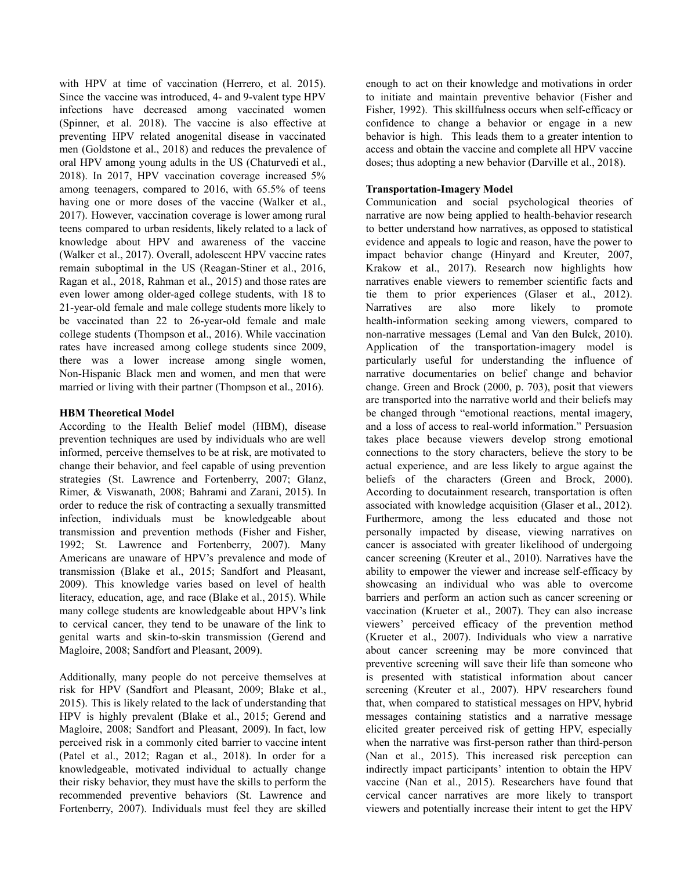with HPV at time of vaccination (Herrero, et al. 2015). Since the vaccine was introduced, 4- and 9-valent type HPV infections have decreased among vaccinated women (Spinner, et al. 2018). The vaccine is also effective at preventing HPV related anogenital disease in vaccinated men (Goldstone et al., 2018) and reduces the prevalence of oral HPV among young adults in the US (Chaturvedi et al., 2018). In 2017, HPV vaccination coverage increased 5% among teenagers, compared to 2016, with 65.5% of teens having one or more doses of the vaccine (Walker et al., 2017). However, vaccination coverage is lower among rural teens compared to urban residents, likely related to a lack of knowledge about HPV and awareness of the vaccine (Walker et al., 2017). Overall, adolescent HPV vaccine rates remain suboptimal in the US (Reagan-Stiner et al., 2016, Ragan et al., 2018, Rahman et al., 2015) and those rates are even lower among older-aged college students, with 18 to 21-year-old female and male college students more likely to be vaccinated than 22 to 26-year-old female and male college students (Thompson et al., 2016). While vaccination rates have increased among college students since 2009, there was a lower increase among single women, Non-Hispanic Black men and women, and men that were married or living with their partner (Thompson et al., 2016).

### **HBM Theoretical Model**

According to the Health Belief model (HBM), disease prevention techniques are used by individuals who are well informed, perceive themselves to be at risk, are motivated to change their behavior, and feel capable of using prevention strategies (St. Lawrence and Fortenberry, 2007; Glanz, Rimer, & Viswanath, 2008; Bahrami and Zarani, 2015). In order to reduce the risk of contracting a sexually transmitted infection, individuals must be knowledgeable about transmission and prevention methods (Fisher and Fisher, 1992; St. Lawrence and Fortenberry, 2007). Many Americans are unaware of HPV's prevalence and mode of transmission (Blake et al., 2015; Sandfort and Pleasant, 2009). This knowledge varies based on level of health literacy, education, age, and race (Blake et al., 2015). While many college students are knowledgeable about HPV's link to cervical cancer, they tend to be unaware of the link to genital warts and skin-to-skin transmission (Gerend and Magloire, 2008; Sandfort and Pleasant, 2009).

Additionally, many people do not perceive themselves at risk for HPV (Sandfort and Pleasant, 2009; Blake et al., 2015). This is likely related to the lack of understanding that HPV is highly prevalent (Blake et al., 2015; Gerend and Magloire, 2008; Sandfort and Pleasant, 2009). In fact, low perceived risk in a commonly cited barrier to vaccine intent (Patel et al., 2012; Ragan et al., 2018). In order for a knowledgeable, motivated individual to actually change their risky behavior, they must have the skills to perform the recommended preventive behaviors (St. Lawrence and Fortenberry, 2007). Individuals must feel they are skilled enough to act on their knowledge and motivations in order to initiate and maintain preventive behavior (Fisher and Fisher, 1992). This skillfulness occurs when self-efficacy or confidence to change a behavior or engage in a new behavior is high. This leads them to a greater intention to access and obtain the vaccine and complete all HPV vaccine doses; thus adopting a new behavior (Darville et al., 2018).

### **Transportation-Imagery Model**

Communication and social psychological theories of narrative are now being applied to health-behavior research to better understand how narratives, as opposed to statistical evidence and appeals to logic and reason, have the power to impact behavior change (Hinyard and Kreuter, 2007, Krakow et al., 2017). Research now highlights how narratives enable viewers to remember scientific facts and tie them to prior experiences (Glaser et al., 2012). Narratives are also more likely to promote health-information seeking among viewers, compared to non-narrative messages (Lemal and Van den Bulck, 2010). Application of the transportation-imagery model is particularly useful for understanding the influence of narrative documentaries on belief change and behavior change. Green and Brock (2000, p. 703), posit that viewers are transported into the narrative world and their beliefs may be changed through "emotional reactions, mental imagery, and a loss of access to real-world information." Persuasion takes place because viewers develop strong emotional connections to the story characters, believe the story to be actual experience, and are less likely to argue against the beliefs of the characters (Green and Brock, 2000). According to docutainment research, transportation is often associated with knowledge acquisition (Glaser et al., 2012). Furthermore, among the less educated and those not personally impacted by disease, viewing narratives on cancer is associated with greater likelihood of undergoing cancer screening (Kreuter et al., 2010). Narratives have the ability to empower the viewer and increase self-efficacy by showcasing an individual who was able to overcome barriers and perform an action such as cancer screening or vaccination (Krueter et al., 2007). They can also increase viewers' perceived efficacy of the prevention method (Krueter et al., 2007). Individuals who view a narrative about cancer screening may be more convinced that preventive screening will save their life than someone who is presented with statistical information about cancer screening (Kreuter et al., 2007). HPV researchers found that, when compared to statistical messages on HPV, hybrid messages containing statistics and a narrative message elicited greater perceived risk of getting HPV, especially when the narrative was first-person rather than third-person (Nan et al., 2015). This increased risk perception can indirectly impact participants' intention to obtain the HPV vaccine (Nan et al., 2015). Researchers have found that cervical cancer narratives are more likely to transport viewers and potentially increase their intent to get the HPV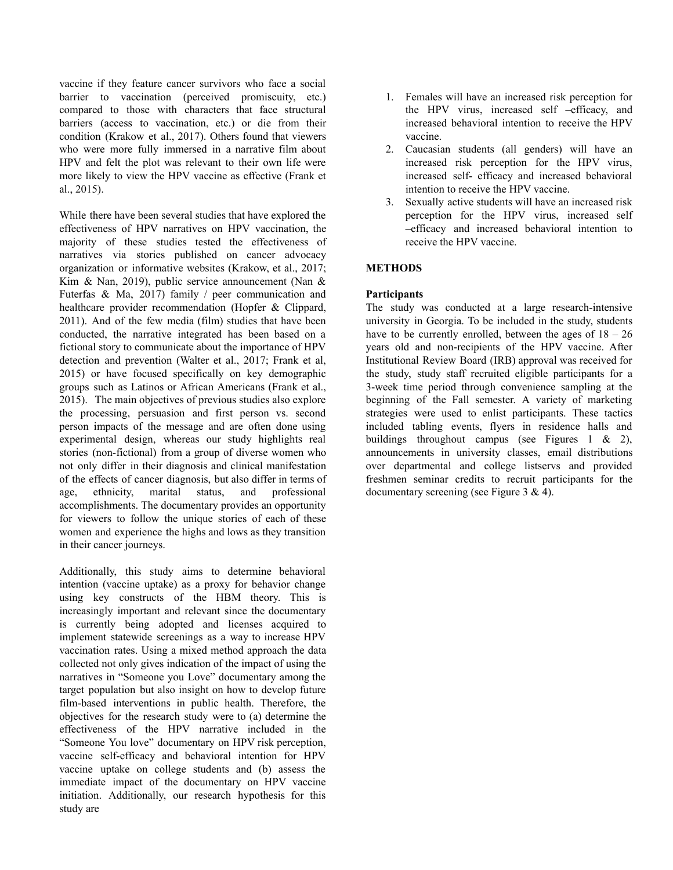vaccine if they feature cancer survivors who face a social barrier to vaccination (perceived promiscuity, etc.) compared to those with characters that face structural barriers (access to vaccination, etc.) or die from their condition (Krakow et al., 2017). Others found that viewers who were more fully immersed in a narrative film about HPV and felt the plot was relevant to their own life were more likely to view the HPV vaccine as effective (Frank et al., 2015).

While there have been several studies that have explored the effectiveness of HPV narratives on HPV vaccination, the majority of these studies tested the effectiveness of narratives via stories published on cancer advocacy organization or informative websites (Krakow, et al., 2017; Kim & Nan, 2019), public service announcement (Nan & Futerfas & Ma, 2017) family / peer communication and healthcare provider recommendation (Hopfer & Clippard, 2011). And of the few media (film) studies that have been conducted, the narrative integrated has been based on a fictional story to communicate about the importance of HPV detection and prevention (Walter et al., 2017; Frank et al, 2015) or have focused specifically on key demographic groups such as Latinos or African Americans (Frank et al., 2015). The main objectives of previous studies also explore the processing, persuasion and first person vs. second person impacts of the message and are often done using experimental design, whereas our study highlights real stories (non-fictional) from a group of diverse women who not only differ in their diagnosis and clinical manifestation of the effects of cancer diagnosis, but also differ in terms of age, ethnicity, marital status, and professional accomplishments. The documentary provides an opportunity for viewers to follow the unique stories of each of these women and experience the highs and lows as they transition in their cancer journeys.

Additionally, this study aims to determine behavioral intention (vaccine uptake) as a proxy for behavior change using key constructs of the HBM theory. This is increasingly important and relevant since the documentary is currently being adopted and licenses acquired to implement statewide screenings as a way to increase HPV vaccination rates. Using a mixed method approach the data collected not only gives indication of the impact of using the narratives in "Someone you Love" documentary among the target population but also insight on how to develop future film-based interventions in public health. Therefore, the objectives for the research study were to (a) determine the effectiveness of the HPV narrative included in the "Someone You love" documentary on HPV risk perception, vaccine self-efficacy and behavioral intention for HPV vaccine uptake on college students and (b) assess the immediate impact of the documentary on HPV vaccine initiation. Additionally, our research hypothesis for this study are

- 1. Females will have an increased risk perception for the HPV virus, increased self –efficacy, and increased behavioral intention to receive the HPV vaccine.
- 2. Caucasian students (all genders) will have an increased risk perception for the HPV virus, increased self- efficacy and increased behavioral intention to receive the HPV vaccine.
- 3. Sexually active students will have an increased risk perception for the HPV virus, increased self –efficacy and increased behavioral intention to receive the HPV vaccine.

### **METHODS**

### **Participants**

The study was conducted at a large research-intensive university in Georgia. To be included in the study, students have to be currently enrolled, between the ages of  $18 - 26$ years old and non-recipients of the HPV vaccine. After Institutional Review Board (IRB) approval was received for the study, study staff recruited eligible participants for a 3-week time period through convenience sampling at the beginning of the Fall semester. A variety of marketing strategies were used to enlist participants. These tactics included tabling events, flyers in residence halls and buildings throughout campus (see Figures 1 & 2), announcements in university classes, email distributions over departmental and college listservs and provided freshmen seminar credits to recruit participants for the documentary screening (see Figure 3 & 4).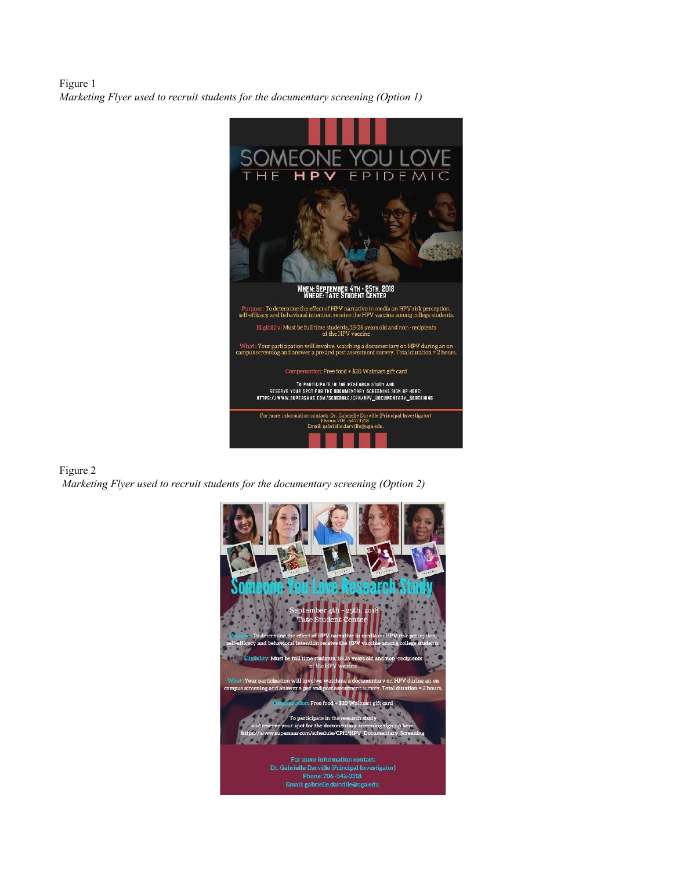Figure 1 *Marketing Flyer used to recruit students for the documentary screening (Option 1)*



### Figure 2

*Marketing Flyer used to recruit students for the documentary screening (Option 2)*

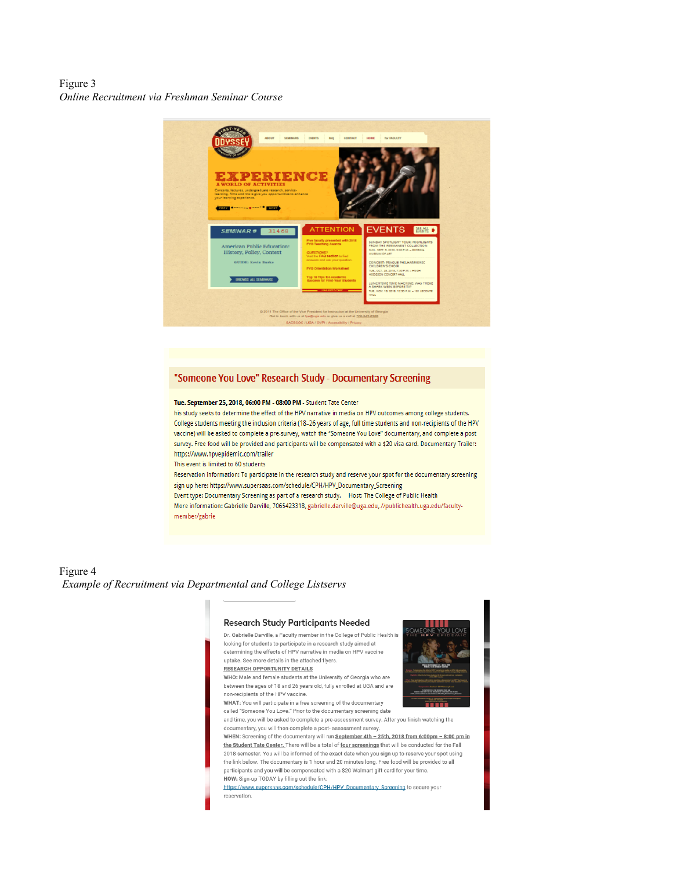Figure 3 *Online Recruitment via Freshman Seminar Course*



#### "Someone You Love" Research Study - Documentary Screening

#### Tue. September 25, 2018, 06:00 PM - 08:00 PM - Student Tate Center

his study seeks to determine the effect of the HPV narrative in media on HPV outcomes among college students. College students meeting the inclusion criteria (18-26 years of age, full time students and non-recipients of the HPV vaccine) will be asked to complete a pre-survey, watch the "Someone You Love" documentary, and complete a post survey. Free food will be provided and participants will be compensated with a \$20 visa card. Documentary Trailer: https://www.hpvepidemic.com/trailer

This event is limited to 60 students

Reservation information: To participate in the research study and reserve your spot for the documentary screening sign up here: https://www.supersaas.com/schedule/CPH/HPV\_Documentary\_Screening Event type: Documentary Screening as part of a research study. Host: The College of Public Health More information: Gabrielle Darville, 7065423318, gabrielle.darville@uga.edu, //publichealth.uga.edu/facultymember/gabrie

### Figure 4 *Example of Recruitment via Departmental and College Listservs*

#### **Research Study Participants Needed**

Dr. Gabrielle Darville, a Faculty member in the College of Public Health is looking for students to participate in a research study aimed at determining the effects of HPV narrative in media on HPV vaccine uptake. See more details in the attached flyers **RESEARCH OPPORTUNITY DETAILS** 

WHO: Male and female students at the University of Georgia who are between the ages of 18 and 26 years old, fully enrolled at UGA and are non-recipients of the HPV vaccine. WHAT: You will participate in a free screening of the documentary



called "Someone You Love." Prior to the documentary screening date and time, you will be asked to complete a pre-assessment survey. After you finish watching the

documentary, you will then complete a post-assessment survey. WHEN: Screening of the documentary will run September 4th - 25th, 2018 from 6:00pm - 8:00 pm in the Student Tate Center. There will be a total of four screenings that will be conducted for the Fall 2018 semester. You will be informed of the exact date when you sign up to reserve your spot using the link below. The documentary is 1 hour and 20 minutes long. Free food will be provided to all participants and you will be compensated with a \$20 Walmart gift card for your time

HOW: Sign-up TODAY by filling out the link: https://www.supersaas.com/schedule/CPH/HPV\_Documentary\_Screening to secure your

reservation.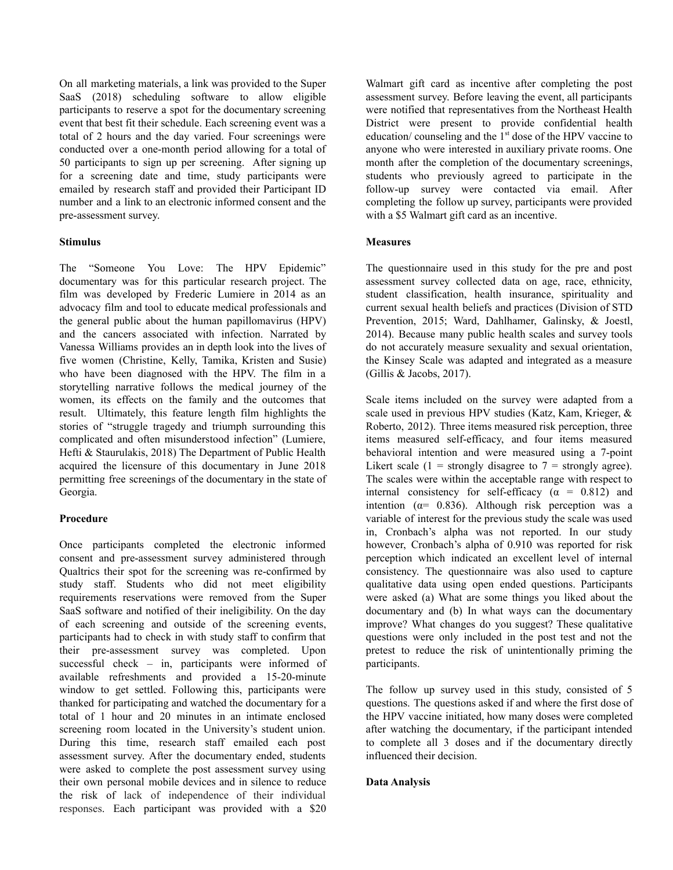On all marketing materials, a link was provided to the Super SaaS (2018) scheduling software to allow eligible participants to reserve a spot for the documentary screening event that best fit their schedule. Each screening event was a total of 2 hours and the day varied. Four screenings were conducted over a one-month period allowing for a total of 50 participants to sign up per screening. After signing up for a screening date and time, study participants were emailed by research staff and provided their Participant ID number and a link to an electronic informed consent and the pre-assessment survey.

### **Stimulus**

The "Someone You Love: The HPV Epidemic" documentary was for this particular research project. The film was developed by Frederic Lumiere in 2014 as an advocacy film and tool to educate medical professionals and the general public about the human papillomavirus (HPV) and the cancers associated with infection. Narrated by Vanessa Williams provides an in depth look into the lives of five women (Christine, Kelly, Tamika, Kristen and Susie) who have been diagnosed with the HPV. The film in a storytelling narrative follows the medical journey of the women, its effects on the family and the outcomes that result. Ultimately, this feature length film highlights the stories of "struggle tragedy and triumph surrounding this complicated and often misunderstood infection" (Lumiere, Hefti & Staurulakis, 2018) The Department of Public Health acquired the licensure of this documentary in June 2018 permitting free screenings of the documentary in the state of Georgia.

### **Procedure**

Once participants completed the electronic informed consent and pre-assessment survey administered through Qualtrics their spot for the screening was re-confirmed by study staff. Students who did not meet eligibility requirements reservations were removed from the Super SaaS software and notified of their ineligibility. On the day of each screening and outside of the screening events, participants had to check in with study staff to confirm that their pre-assessment survey was completed. Upon successful check – in, participants were informed of available refreshments and provided a 15-20-minute window to get settled. Following this, participants were thanked for participating and watched the documentary for a total of 1 hour and 20 minutes in an intimate enclosed screening room located in the University's student union. During this time, research staff emailed each post assessment survey. After the documentary ended, students were asked to complete the post assessment survey using their own personal mobile devices and in silence to reduce the risk of lack of independence of their individual responses. Each participant was provided with a \$20

Walmart gift card as incentive after completing the post assessment survey. Before leaving the event, all participants were notified that representatives from the Northeast Health District were present to provide confidential health education/ counseling and the 1<sup>st</sup> dose of the HPV vaccine to anyone who were interested in auxiliary private rooms. One month after the completion of the documentary screenings, students who previously agreed to participate in the follow-up survey were contacted via email. After completing the follow up survey, participants were provided with a \$5 Walmart gift card as an incentive.

### **Measures**

The questionnaire used in this study for the pre and post assessment survey collected data on age, race, ethnicity, student classification, health insurance, spirituality and current sexual health beliefs and practices (Division of STD Prevention, 2015; Ward, Dahlhamer, Galinsky, & Joestl, 2014). Because many public health scales and survey tools do not accurately measure sexuality and sexual orientation, the Kinsey Scale was adapted and integrated as a measure (Gillis & Jacobs, 2017).

Scale items included on the survey were adapted from a scale used in previous HPV studies (Katz, Kam, Krieger, & Roberto, 2012). Three items measured risk perception, three items measured self-efficacy, and four items measured behavioral intention and were measured using a 7-point Likert scale (1 = strongly disagree to 7 = strongly agree). The scales were within the acceptable range with respect to internal consistency for self-efficacy ( $\alpha$  = 0.812) and intention ( $\alpha$ = 0.836). Although risk perception was a variable of interest for the previous study the scale was used in, Cronbach's alpha was not reported. In our study however, Cronbach's alpha of 0.910 was reported for risk perception which indicated an excellent level of internal consistency. The questionnaire was also used to capture qualitative data using open ended questions. Participants were asked (a) What are some things you liked about the documentary and (b) In what ways can the documentary improve? What changes do you suggest? These qualitative questions were only included in the post test and not the pretest to reduce the risk of unintentionally priming the participants.

The follow up survey used in this study, consisted of 5 questions. The questions asked if and where the first dose of the HPV vaccine initiated, how many doses were completed after watching the documentary, if the participant intended to complete all 3 doses and if the documentary directly influenced their decision.

### **Data Analysis**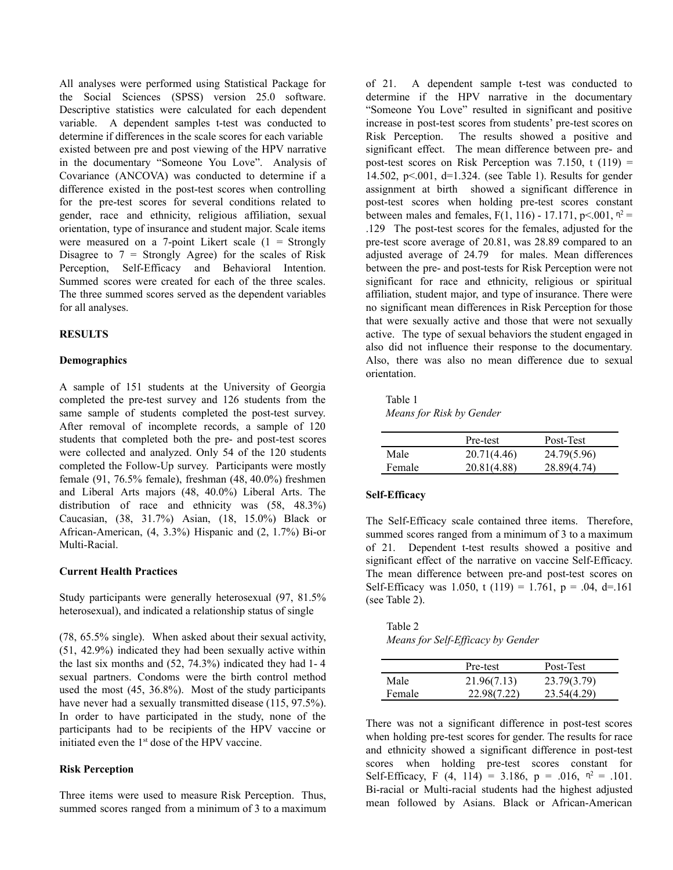All analyses were performed using Statistical Package for the Social Sciences (SPSS) version 25.0 software. Descriptive statistics were calculated for each dependent variable. A dependent samples t-test was conducted to determine if differences in the scale scores for each variable existed between pre and post viewing of the HPV narrative in the documentary "Someone You Love". Analysis of Covariance (ANCOVA) was conducted to determine if a difference existed in the post-test scores when controlling for the pre-test scores for several conditions related to gender, race and ethnicity, religious affiliation, sexual orientation, type of insurance and student major. Scale items were measured on a 7-point Likert scale  $(1 -$  Strongly Disagree to  $7 =$  Strongly Agree) for the scales of Risk Perception, Self-Efficacy and Behavioral Intention. Summed scores were created for each of the three scales. The three summed scores served as the dependent variables for all analyses.

#### **RESULTS**

#### **Demographics**

A sample of 151 students at the University of Georgia completed the pre-test survey and 126 students from the same sample of students completed the post-test survey. After removal of incomplete records, a sample of 120 students that completed both the pre- and post-test scores were collected and analyzed. Only 54 of the 120 students completed the Follow-Up survey. Participants were mostly female (91, 76.5% female), freshman (48, 40.0%) freshmen and Liberal Arts majors (48, 40.0%) Liberal Arts. The distribution of race and ethnicity was (58, 48.3%) Caucasian, (38, 31.7%) Asian, (18, 15.0%) Black or African-American, (4, 3.3%) Hispanic and (2, 1.7%) Bi-or Multi-Racial.

#### **Current Health Practices**

Study participants were generally heterosexual (97, 81.5% heterosexual), and indicated a relationship status of single

(78, 65.5% single). When asked about their sexual activity, (51, 42.9%) indicated they had been sexually active within the last six months and (52, 74.3%) indicated they had 1- 4 sexual partners. Condoms were the birth control method used the most (45, 36.8%). Most of the study participants have never had a sexually transmitted disease (115, 97.5%). In order to have participated in the study, none of the participants had to be recipients of the HPV vaccine or initiated even the 1<sup>st</sup> dose of the HPV vaccine.

#### **Risk Perception**

Three items were used to measure Risk Perception. Thus, summed scores ranged from a minimum of 3 to a maximum of 21. A dependent sample t-test was conducted to determine if the HPV narrative in the documentary "Someone You Love" resulted in significant and positive increase in post-test scores from students' pre-test scores on Risk Perception. The results showed a positive and significant effect. The mean difference between pre- and post-test scores on Risk Perception was  $7.150$ , t  $(119)$  = 14.502, p<.001, d=1.324. (see Table 1). Results for gender assignment at birth showed a significant difference in post-test scores when holding pre-test scores constant between males and females,  $F(1, 116) - 17.171$ ,  $p < 001$ ,  $n^2 =$ .129 The post-test scores for the females, adjusted for the pre-test score average of 20.81, was 28.89 compared to an adjusted average of 24.79 for males. Mean differences between the pre- and post-tests for Risk Perception were not significant for race and ethnicity, religious or spiritual affiliation, student major, and type of insurance. There were no significant mean differences in Risk Perception for those that were sexually active and those that were not sexually active. The type of sexual behaviors the student engaged in also did not influence their response to the documentary. Also, there was also no mean difference due to sexual orientation.

Table 1 *Means for Risk by Gender*

|        | Pre-test    | Post-Test   |
|--------|-------------|-------------|
| Male   | 20.71(4.46) | 24.79(5.96) |
| Female | 20.81(4.88) | 28.89(4.74) |

#### **Self-Efficacy**

The Self-Efficacy scale contained three items. Therefore, summed scores ranged from a minimum of 3 to a maximum of 21. Dependent t-test results showed a positive and significant effect of the narrative on vaccine Self-Efficacy. The mean difference between pre-and post-test scores on Self-Efficacy was 1.050, t (119) = 1.761,  $p = .04$ , d=.161 (see Table 2).

Table 2 *Means for Self-Ef icacy by Gender*

|        | Pre-test    | Post-Test   |
|--------|-------------|-------------|
| Male   | 21.96(7.13) | 23.79(3.79) |
| Female | 22.98(7.22) | 23.54(4.29) |

There was not a significant difference in post-test scores when holding pre-test scores for gender. The results for race and ethnicity showed a significant difference in post-test scores when holding pre-test scores constant for Self-Efficacy, F (4, 114) = 3.186, p = .016,  $n^2$  = .101. Bi-racial or Multi-racial students had the highest adjusted mean followed by Asians. Black or African-American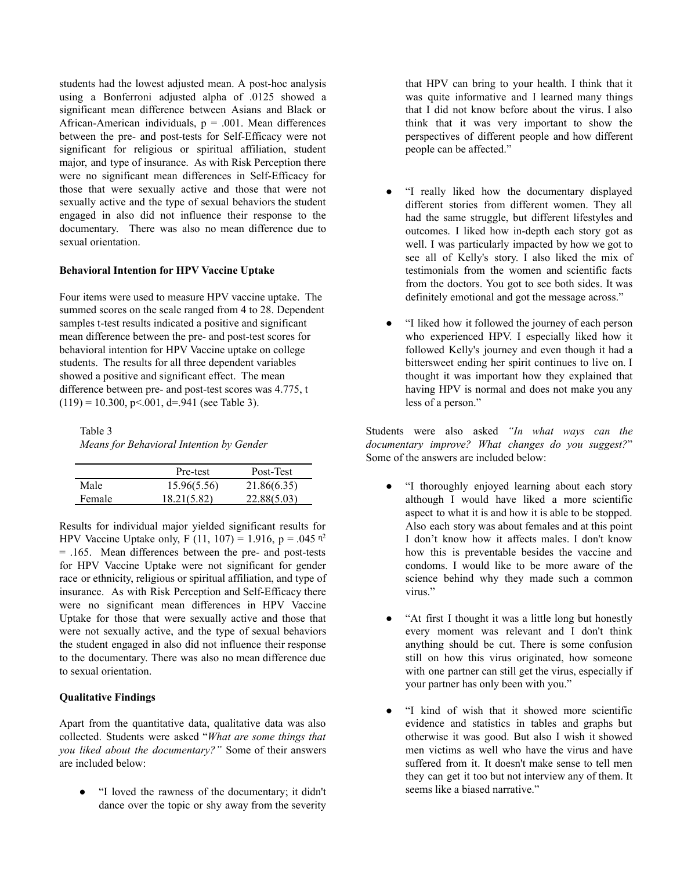students had the lowest adjusted mean. A post-hoc analysis using a Bonferroni adjusted alpha of .0125 showed a significant mean difference between Asians and Black or African-American individuals,  $p = .001$ . Mean differences between the pre- and post-tests for Self-Efficacy were not significant for religious or spiritual affiliation, student major, and type of insurance. As with Risk Perception there were no significant mean differences in Self-Efficacy for those that were sexually active and those that were not sexually active and the type of sexual behaviors the student engaged in also did not influence their response to the documentary. There was also no mean difference due to sexual orientation.

### **Behavioral Intention for HPV Vaccine Uptake**

Four items were used to measure HPV vaccine uptake. The summed scores on the scale ranged from 4 to 28. Dependent samples t-test results indicated a positive and significant mean difference between the pre- and post-test scores for behavioral intention for HPV Vaccine uptake on college students. The results for all three dependent variables showed a positive and significant effect. The mean difference between pre- and post-test scores was 4.775, t  $(119) = 10.300$ , p<.001, d=.941 (see Table 3).

Table 3 *Means for Behavioral Intention by Gender*

|        | Pre-test    | Post-Test   |
|--------|-------------|-------------|
| Male   | 15.96(5.56) | 21.86(6.35) |
| Female | 18.21(5.82) | 22.88(5.03) |

Results for individual major yielded significant results for HPV Vaccine Uptake only, F (11, 107) = 1.916, p = .045  $n^2$ = .165. Mean differences between the pre- and post-tests for HPV Vaccine Uptake were not significant for gender race or ethnicity, religious or spiritual affiliation, and type of insurance. As with Risk Perception and Self-Efficacy there were no significant mean differences in HPV Vaccine Uptake for those that were sexually active and those that were not sexually active, and the type of sexual behaviors the student engaged in also did not influence their response to the documentary. There was also no mean difference due to sexual orientation.

### **Qualitative Findings**

Apart from the quantitative data, qualitative data was also collected. Students were asked "*What are some things that you liked about the documentary?"* Some of their answers are included below:

"I loved the rawness of the documentary; it didn't dance over the topic or shy away from the severity

that HPV can bring to your health. I think that it was quite informative and I learned many things that I did not know before about the virus. I also think that it was very important to show the perspectives of different people and how different people can be affected."

- "I really liked how the documentary displayed different stories from different women. They all had the same struggle, but different lifestyles and outcomes. I liked how in-depth each story got as well. I was particularly impacted by how we got to see all of Kelly's story. I also liked the mix of testimonials from the women and scientific facts from the doctors. You got to see both sides. It was definitely emotional and got the message across."
- "I liked how it followed the journey of each person who experienced HPV. I especially liked how it followed Kelly's journey and even though it had a bittersweet ending her spirit continues to live on. I thought it was important how they explained that having HPV is normal and does not make you any less of a person."

Students were also asked *"In what ways can the documentary improve? What changes do you suggest?*" Some of the answers are included below:

- "I thoroughly enjoyed learning about each story although I would have liked a more scientific aspect to what it is and how it is able to be stopped. Also each story was about females and at this point I don't know how it affects males. I don't know how this is preventable besides the vaccine and condoms. I would like to be more aware of the science behind why they made such a common virus."
- "At first I thought it was a little long but honestly every moment was relevant and I don't think anything should be cut. There is some confusion still on how this virus originated, how someone with one partner can still get the virus, especially if your partner has only been with you."
- "I kind of wish that it showed more scientific evidence and statistics in tables and graphs but otherwise it was good. But also I wish it showed men victims as well who have the virus and have suffered from it. It doesn't make sense to tell men they can get it too but not interview any of them. It seems like a biased narrative."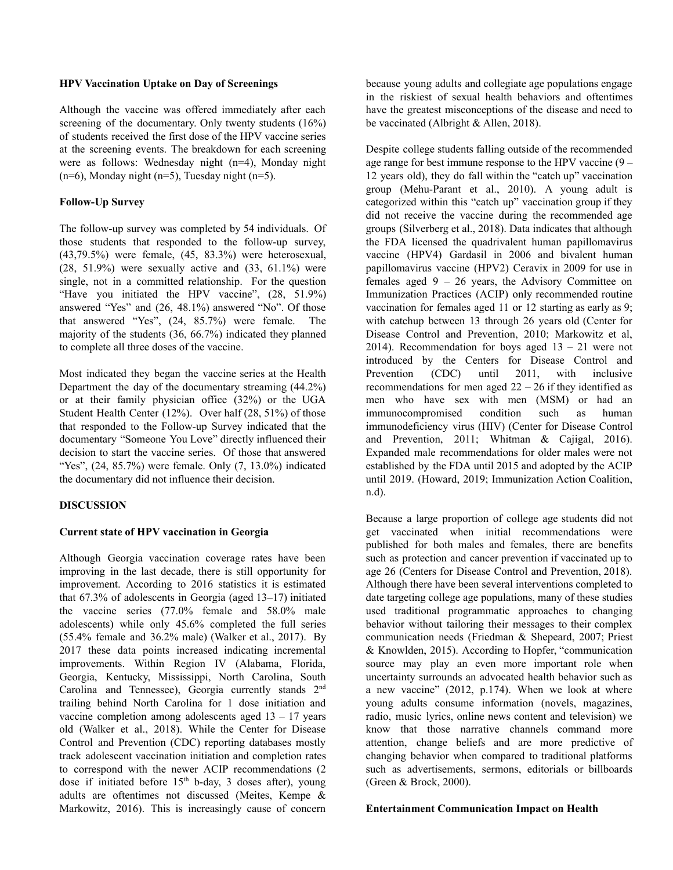#### **HPV Vaccination Uptake on Day of Screenings**

Although the vaccine was offered immediately after each screening of the documentary. Only twenty students (16%) of students received the first dose of the HPV vaccine series at the screening events. The breakdown for each screening were as follows: Wednesday night (n=4), Monday night (n=6), Monday night (n=5), Tuesday night (n=5).

### **Follow-Up Survey**

The follow-up survey was completed by 54 individuals. Of those students that responded to the follow-up survey, (43,79.5%) were female, (45, 83.3%) were heterosexual,  $(28, 51.9\%)$  were sexually active and  $(33, 61.1\%)$  were single, not in a committed relationship. For the question "Have you initiated the HPV vaccine",  $(28, 51.9\%)$ answered "Yes" and (26, 48.1%) answered "No". Of those that answered "Yes", (24, 85.7%) were female. The majority of the students (36, 66.7%) indicated they planned to complete all three doses of the vaccine.

Most indicated they began the vaccine series at the Health Department the day of the documentary streaming (44.2%) or at their family physician office (32%) or the UGA Student Health Center (12%). Over half (28, 51%) of those that responded to the Follow-up Survey indicated that the documentary "Someone You Love" directly influenced their decision to start the vaccine series. Of those that answered "Yes",  $(24, 85.7%)$  were female. Only  $(7, 13.0%)$  indicated the documentary did not influence their decision.

## **DISCUSSION**

## **Current state of HPV vaccination in Georgia**

Although Georgia vaccination coverage rates have been improving in the last decade, there is still opportunity for improvement. According to 2016 statistics it is estimated that 67.3% of adolescents in Georgia (aged 13–17) initiated the vaccine series (77.0% female and 58.0% male adolescents) while only 45.6% completed the full series (55.4% female and 36.2% male) (Walker et al., 2017). By 2017 these data points increased indicating incremental improvements. Within Region IV (Alabama, Florida, Georgia, Kentucky, Mississippi, North Carolina, South Carolina and Tennessee), Georgia currently stands 2<sup>nd</sup> trailing behind North Carolina for 1 dose initiation and vaccine completion among adolescents aged  $13 - 17$  years old (Walker et al., 2018). While the Center for Disease Control and Prevention (CDC) reporting databases mostly track adolescent vaccination initiation and completion rates to correspond with the newer ACIP recommendations (2 dose if initiated before  $15<sup>th</sup>$  b-day, 3 doses after), young adults are oftentimes not discussed (Meites, Kempe & Markowitz, 2016). This is increasingly cause of concern

because young adults and collegiate age populations engage in the riskiest of sexual health behaviors and oftentimes have the greatest misconceptions of the disease and need to be vaccinated (Albright & Allen, 2018).

Despite college students falling outside of the recommended age range for best immune response to the HPV vaccine (9 – 12 years old), they do fall within the "catch up" vaccination group (Mehu-Parant et al., 2010). A young adult is categorized within this "catch up" vaccination group if they did not receive the vaccine during the recommended age groups (Silverberg et al., 2018). Data indicates that although the FDA licensed the quadrivalent human papillomavirus vaccine (HPV4) Gardasil in 2006 and bivalent human papillomavirus vaccine (HPV2) Ceravix in 2009 for use in females aged  $9 - 26$  years, the Advisory Committee on Immunization Practices (ACIP) only recommended routine vaccination for females aged 11 or 12 starting as early as 9; with catchup between 13 through 26 years old (Center for Disease Control and Prevention, 2010; Markowitz et al, 2014). Recommendation for boys aged  $13 - 21$  were not introduced by the Centers for Disease Control and Prevention (CDC) until 2011, with inclusive recommendations for men aged  $22 - 26$  if they identified as men who have sex with men (MSM) or had an immunocompromised condition such as human immunodeficiency virus (HIV) (Center for Disease Control and Prevention, 2011; Whitman & Cajigal, 2016). Expanded male recommendations for older males were not established by the FDA until 2015 and adopted by the ACIP until 2019. (Howard, 2019; Immunization Action Coalition, n.d).

Because a large proportion of college age students did not get vaccinated when initial recommendations were published for both males and females, there are benefits such as protection and cancer prevention if vaccinated up to age 26 (Centers for Disease Control and Prevention, 2018). Although there have been several interventions completed to date targeting college age populations, many of these studies used traditional programmatic approaches to changing behavior without tailoring their messages to their complex communication needs (Friedman & Shepeard, 2007; Priest & Knowlden, 2015). According to Hopfer, "communication source may play an even more important role when uncertainty surrounds an advocated health behavior such as a new vaccine" (2012, p.174). When we look at where young adults consume information (novels, magazines, radio, music lyrics, online news content and television) we know that those narrative channels command more attention, change beliefs and are more predictive of changing behavior when compared to traditional platforms such as advertisements, sermons, editorials or billboards (Green & Brock, 2000).

#### **Entertainment Communication Impact on Health**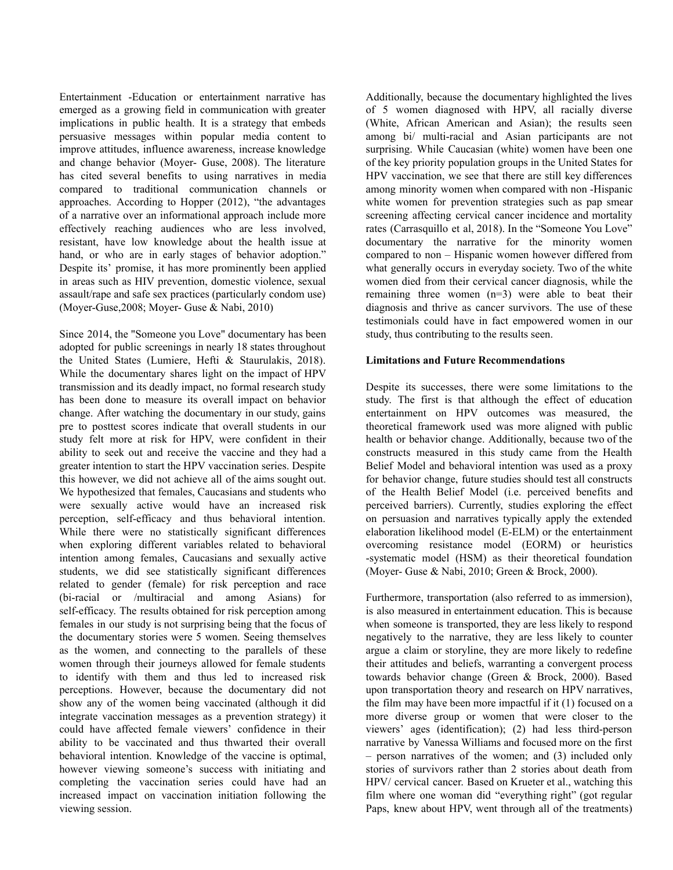Entertainment -Education or entertainment narrative has emerged as a growing field in communication with greater implications in public health. It is a strategy that embeds persuasive messages within popular media content to improve attitudes, influence awareness, increase knowledge and change behavior (Moyer- Guse, 2008). The literature has cited several benefits to using narratives in media compared to traditional communication channels or approaches. According to Hopper (2012), "the advantages of a narrative over an informational approach include more effectively reaching audiences who are less involved, resistant, have low knowledge about the health issue at hand, or who are in early stages of behavior adoption." Despite its' promise, it has more prominently been applied in areas such as HIV prevention, domestic violence, sexual assault/rape and safe sex practices (particularly condom use) (Moyer-Guse,2008; Moyer- Guse & Nabi, 2010)

Since 2014, the "Someone you Love" documentary has been adopted for public screenings in nearly 18 states throughout the United States (Lumiere, Hefti & Staurulakis, 2018). While the documentary shares light on the impact of HPV transmission and its deadly impact, no formal research study has been done to measure its overall impact on behavior change. After watching the documentary in our study, gains pre to posttest scores indicate that overall students in our study felt more at risk for HPV, were confident in their ability to seek out and receive the vaccine and they had a greater intention to start the HPV vaccination series. Despite this however, we did not achieve all of the aims sought out. We hypothesized that females, Caucasians and students who were sexually active would have an increased risk perception, self-efficacy and thus behavioral intention. While there were no statistically significant differences when exploring different variables related to behavioral intention among females, Caucasians and sexually active students, we did see statistically significant differences related to gender (female) for risk perception and race (bi-racial or /multiracial and among Asians) for self-efficacy. The results obtained for risk perception among females in our study is not surprising being that the focus of the documentary stories were 5 women. Seeing themselves as the women, and connecting to the parallels of these women through their journeys allowed for female students to identify with them and thus led to increased risk perceptions. However, because the documentary did not show any of the women being vaccinated (although it did integrate vaccination messages as a prevention strategy) it could have affected female viewers' confidence in their ability to be vaccinated and thus thwarted their overall behavioral intention. Knowledge of the vaccine is optimal, however viewing someone's success with initiating and completing the vaccination series could have had an increased impact on vaccination initiation following the viewing session.

Additionally, because the documentary highlighted the lives of 5 women diagnosed with HPV, all racially diverse (White, African American and Asian); the results seen among bi/ multi-racial and Asian participants are not surprising. While Caucasian (white) women have been one of the key priority population groups in the United States for HPV vaccination, we see that there are still key differences among minority women when compared with non -Hispanic white women for prevention strategies such as pap smear screening affecting cervical cancer incidence and mortality rates (Carrasquillo et al, 2018). In the "Someone You Love" documentary the narrative for the minority women compared to non – Hispanic women however differed from what generally occurs in everyday society. Two of the white women died from their cervical cancer diagnosis, while the remaining three women (n=3) were able to beat their diagnosis and thrive as cancer survivors. The use of these testimonials could have in fact empowered women in our study, thus contributing to the results seen.

### **Limitations and Future Recommendations**

Despite its successes, there were some limitations to the study. The first is that although the effect of education entertainment on HPV outcomes was measured, the theoretical framework used was more aligned with public health or behavior change. Additionally, because two of the constructs measured in this study came from the Health Belief Model and behavioral intention was used as a proxy for behavior change, future studies should test all constructs of the Health Belief Model (i.e. perceived benefits and perceived barriers). Currently, studies exploring the effect on persuasion and narratives typically apply the extended elaboration likelihood model (E-ELM) or the entertainment overcoming resistance model (EORM) or heuristics -systematic model (HSM) as their theoretical foundation (Moyer- Guse & Nabi, 2010; Green & Brock, 2000).

Furthermore, transportation (also referred to as immersion), is also measured in entertainment education. This is because when someone is transported, they are less likely to respond negatively to the narrative, they are less likely to counter argue a claim or storyline, they are more likely to redefine their attitudes and beliefs, warranting a convergent process towards behavior change (Green & Brock, 2000). Based upon transportation theory and research on HPV narratives, the film may have been more impactful if it (1) focused on a more diverse group or women that were closer to the viewers' ages (identification); (2) had less third-person narrative by Vanessa Williams and focused more on the first – person narratives of the women; and (3) included only stories of survivors rather than 2 stories about death from HPV/ cervical cancer. Based on Krueter et al., watching this film where one woman did "everything right" (got regular Paps, knew about HPV, went through all of the treatments)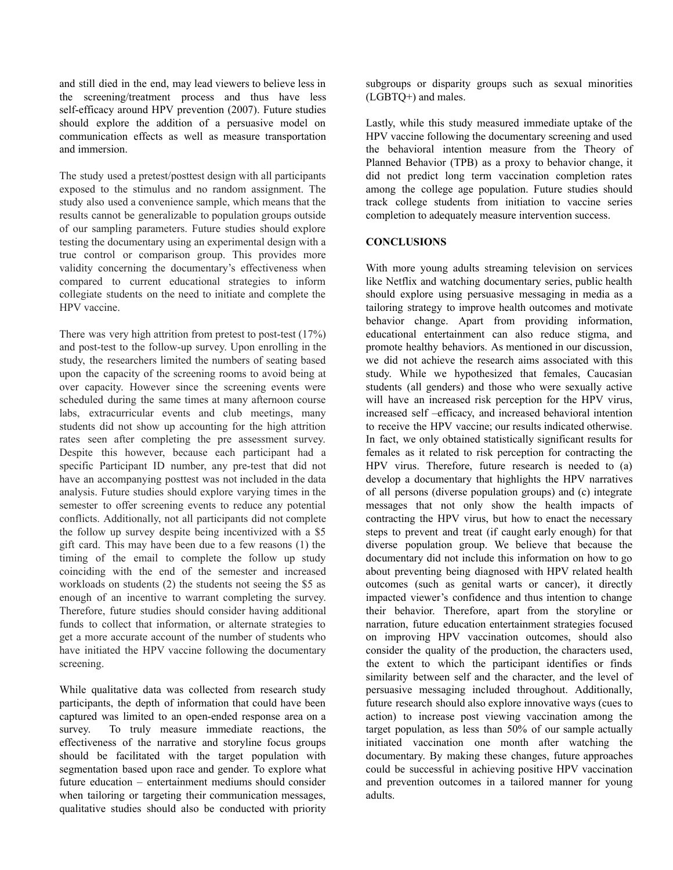and still died in the end, may lead viewers to believe less in the screening/treatment process and thus have less self-efficacy around HPV prevention (2007). Future studies should explore the addition of a persuasive model on communication effects as well as measure transportation and immersion.

The study used a pretest/posttest design with all participants exposed to the stimulus and no random assignment. The study also used a convenience sample, which means that the results cannot be generalizable to population groups outside of our sampling parameters. Future studies should explore testing the documentary using an experimental design with a true control or comparison group. This provides more validity concerning the documentary's effectiveness when compared to current educational strategies to inform collegiate students on the need to initiate and complete the HPV vaccine.

There was very high attrition from pretest to post-test (17%) and post-test to the follow-up survey. Upon enrolling in the study, the researchers limited the numbers of seating based upon the capacity of the screening rooms to avoid being at over capacity. However since the screening events were scheduled during the same times at many afternoon course labs, extracurricular events and club meetings, many students did not show up accounting for the high attrition rates seen after completing the pre assessment survey. Despite this however, because each participant had a specific Participant ID number, any pre-test that did not have an accompanying posttest was not included in the data analysis. Future studies should explore varying times in the semester to offer screening events to reduce any potential conflicts. Additionally, not all participants did not complete the follow up survey despite being incentivized with a \$5 gift card. This may have been due to a few reasons (1) the timing of the email to complete the follow up study coinciding with the end of the semester and increased workloads on students (2) the students not seeing the \$5 as enough of an incentive to warrant completing the survey. Therefore, future studies should consider having additional funds to collect that information, or alternate strategies to get a more accurate account of the number of students who have initiated the HPV vaccine following the documentary screening.

While qualitative data was collected from research study participants, the depth of information that could have been captured was limited to an open-ended response area on a survey. To truly measure immediate reactions, the effectiveness of the narrative and storyline focus groups should be facilitated with the target population with segmentation based upon race and gender. To explore what future education – entertainment mediums should consider when tailoring or targeting their communication messages, qualitative studies should also be conducted with priority

subgroups or disparity groups such as sexual minorities (LGBTQ+) and males.

Lastly, while this study measured immediate uptake of the HPV vaccine following the documentary screening and used the behavioral intention measure from the Theory of Planned Behavior (TPB) as a proxy to behavior change, it did not predict long term vaccination completion rates among the college age population. Future studies should track college students from initiation to vaccine series completion to adequately measure intervention success.

### **CONCLUSIONS**

With more young adults streaming television on services like Netflix and watching documentary series, public health should explore using persuasive messaging in media as a tailoring strategy to improve health outcomes and motivate behavior change. Apart from providing information, educational entertainment can also reduce stigma, and promote healthy behaviors. As mentioned in our discussion, we did not achieve the research aims associated with this study. While we hypothesized that females, Caucasian students (all genders) and those who were sexually active will have an increased risk perception for the HPV virus, increased self –efficacy, and increased behavioral intention to receive the HPV vaccine; our results indicated otherwise. In fact, we only obtained statistically significant results for females as it related to risk perception for contracting the HPV virus. Therefore, future research is needed to (a) develop a documentary that highlights the HPV narratives of all persons (diverse population groups) and (c) integrate messages that not only show the health impacts of contracting the HPV virus, but how to enact the necessary steps to prevent and treat (if caught early enough) for that diverse population group. We believe that because the documentary did not include this information on how to go about preventing being diagnosed with HPV related health outcomes (such as genital warts or cancer), it directly impacted viewer's confidence and thus intention to change their behavior. Therefore, apart from the storyline or narration, future education entertainment strategies focused on improving HPV vaccination outcomes, should also consider the quality of the production, the characters used, the extent to which the participant identifies or finds similarity between self and the character, and the level of persuasive messaging included throughout. Additionally, future research should also explore innovative ways (cues to action) to increase post viewing vaccination among the target population, as less than 50% of our sample actually initiated vaccination one month after watching the documentary. By making these changes, future approaches could be successful in achieving positive HPV vaccination and prevention outcomes in a tailored manner for young adults.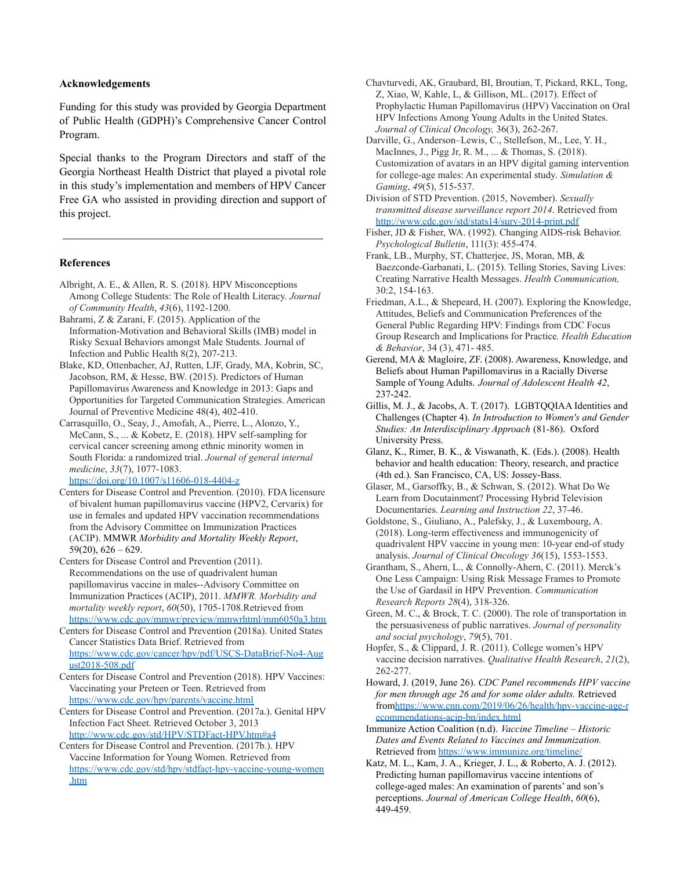#### **Acknowledgements**

Funding for this study was provided by Georgia Department of Public Health (GDPH)'s Comprehensive Cancer Control Program.

Special thanks to the Program Directors and staff of the Georgia Northeast Health District that played a pivotal role in this study's implementation and members of HPV Cancer Free GA who assisted in providing direction and support of this project.

#### **References**

- Albright, A. E., & Allen, R. S. (2018). HPV Misconceptions Among College Students: The Role of Health Literacy. *Journal of Community Health*, *43*(6), 1192-1200.
- Bahrami, Z & Zarani, F. (2015). Application of the Information-Motivation and Behavioral Skills (IMB) model in Risky Sexual Behaviors amongst Male Students. Journal of Infection and Public Health 8(2), 207-213.
- Blake, KD, Ottenbacher, AJ, Rutten, LJF, Grady, MA, Kobrin, SC, Jacobson, RM, & Hesse, BW. (2015). Predictors of Human Papillomavirus Awareness and Knowledge in 2013: Gaps and Opportunities for Targeted Communication Strategies. American Journal of Preventive Medicine 48(4), 402-410.
- Carrasquillo, O., Seay, J., Amofah, A., Pierre, L., Alonzo, Y., McCann, S., ... & Kobetz, E. (2018). HPV self-sampling for cervical cancer screening among ethnic minority women in South Florida: a randomized trial. *Journal of general internal medicine*, *33*(7), 1077-1083.

<https://doi.org/10.1007/s11606-018-4404-z>

- Centers for Disease Control and Prevention. (2010). FDA licensure of bivalent human papillomavirus vaccine (HPV2, Cervarix) for use in females and updated HPV vaccination recommendations from the Advisory Committee on Immunization Practices (ACIP). MMWR *Morbidity and Mortality Weekly Report*,  $59(20)$ ,  $626 - 629$ .
- Centers for Disease Control and Prevention (2011). Recommendations on the use of quadrivalent human papillomavirus vaccine in males--Advisory Committee on Immunization Practices (ACIP), 2011. *MMWR. Morbidity and mortality weekly report*, *60*(50), 1705-1708.Retrieved from <https://www.cdc.gov/mmwr/preview/mmwrhtml/mm6050a3.htm>
- Centers for Disease Control and Prevention (2018a). United States Cancer Statistics Data Brief. Retrieved from [https://www.cdc.gov/cancer/hpv/pdf/USCS-DataBrief-No4-Aug](https://www.cdc.gov/cancer/hpv/pdf/USCS-DataBrief-No4-August2018-508.pdf) [ust2018-508.pdf](https://www.cdc.gov/cancer/hpv/pdf/USCS-DataBrief-No4-August2018-508.pdf)
- Centers for Disease Control and Prevention (2018). HPV Vaccines: Vaccinating your Preteen or Teen. Retrieved from <https://www.cdc.gov/hpv/parents/vaccine.html>
- Centers for Disease Control and Prevention. (2017a.). Genital HPV Infection Fact Sheet. Retrieved October 3, 2013 <http://www.cdc.gov/std/HPV/STDFact-HPV.htm#a4>
- Centers for Disease Control and Prevention. (2017b.). HPV Vaccine Information for Young Women. Retrieved from [https://www.cdc.gov/std/hpv/stdfact-hpv-vaccine-young-women](https://www.cdc.gov/std/hpv/stdfact-hpv-vaccine-young-women.htm) [.htm](https://www.cdc.gov/std/hpv/stdfact-hpv-vaccine-young-women.htm)
- Chavturvedi, AK, Graubard, BI, Broutian, T, Pickard, RKL, Tong, Z, Xiao, W, Kahle, L, & Gillison, ML. (2017). Effect of Prophylactic Human Papillomavirus (HPV) Vaccination on Oral HPV Infections Among Young Adults in the United States. *Journal of Clinical Oncology,* 36(3), 262-267.
- Darville, G., Anderson–Lewis, C., Stellefson, M., Lee, Y. H., MacInnes, J., Pigg Jr, R. M., ... & Thomas, S. (2018). Customization of avatars in an HPV digital gaming intervention for college-age males: An experimental study. *Simulation & Gaming*, *49*(5), 515-537.
- Division of STD Prevention. (2015, November). *Sexually transmitted disease surveillance report 2014*. Retrieved from <http://www.cdc.gov/std/stats14/surv-2014-print.pdf>
- Fisher, JD & Fisher, WA. (1992). Changing AIDS-risk Behavior. *Psychological Bulletin*, 111(3): 455-474.
- Frank, LB., Murphy, ST, Chatterjee, JS, Moran, MB, & Baezconde-Garbanati, L. (2015). Telling Stories, Saving Lives: Creating Narrative Health Messages. *Health Communication,* 30:2, 154-163.
- Friedman, A.L., & Shepeard, H. (2007). Exploring the Knowledge, Attitudes, Beliefs and Communication Preferences of the General Public Regarding HPV: Findings from CDC Focus Group Research and Implications for Practice*. Health Education & Behavior*, 34 (3), 471- 485.
- Gerend, MA & Magloire, ZF. (2008). Awareness, Knowledge, and Beliefs about Human Papillomavirus in a Racially Diverse Sample of Young Adults. *Journal of Adolescent Health 42*, 237-242.
- Gillis, M. J., & Jacobs, A. T. (2017). LGBTQQIAA Identities and Challenges (Chapter 4). *In Introduction to Women's and Gender Studies: An Interdisciplinary Approach* (81-86). Oxford University Press.
- Glanz, K., Rimer, B. K., & Viswanath, K. (Eds.). (2008). Health behavior and health education: Theory, research, and practice (4th ed.). San Francisco, CA, US: Jossey-Bass.
- Glaser, M., Garsoffky, B., & Schwan, S. (2012). What Do We Learn from Docutainment? Processing Hybrid Television Documentaries. *Learning and Instruction 22*, 37-46.
- Goldstone, S., Giuliano, A., Palefsky, J., & Luxembourg, A. (2018). Long-term effectiveness and immunogenicity of quadrivalent HPV vaccine in young men: 10-year end-of study analysis. *Journal of Clinical Oncology 36*(15), 1553-1553.
- Grantham, S., Ahern, L., & Connolly-Ahern, C. (2011). Merck's One Less Campaign: Using Risk Message Frames to Promote the Use of Gardasil in HPV Prevention. *Communication Research Reports 28*(4), 318-326.
- Green, M. C., & Brock, T. C. (2000). The role of transportation in the persuasiveness of public narratives. *Journal of personality and social psychology*, *79*(5), 701.
- Hopfer, S., & Clippard, J. R. (2011). College women's HPV vaccine decision narratives. *Qualitative Health Research*, *21*(2), 262-277.
- Howard, J. (2019, June 26). *CDC Panel recommends HPV vaccine for men through age 26 and for some older adults.* Retrieved fro[mhttps://www.cnn.com/2019/06/26/health/hpv-vaccine-age-r](https://www.cnn.com/2019/06/26/health/hpv-vaccine-age-recommendations-acip-bn/index.html) [ecommendations-acip-bn/index.html](https://www.cnn.com/2019/06/26/health/hpv-vaccine-age-recommendations-acip-bn/index.html)
- Immunize Action Coalition (n.d). *Vaccine Timeline Historic Dates and Events Related to Vaccines and Immunization.* Retrieved from <https://www.immunize.org/timeline/>
- Katz, M. L., Kam, J. A., Krieger, J. L., & Roberto, A. J. (2012). Predicting human papillomavirus vaccine intentions of college-aged males: An examination of parents' and son's perceptions. *Journal of American College Health*, *60*(6), 449-459.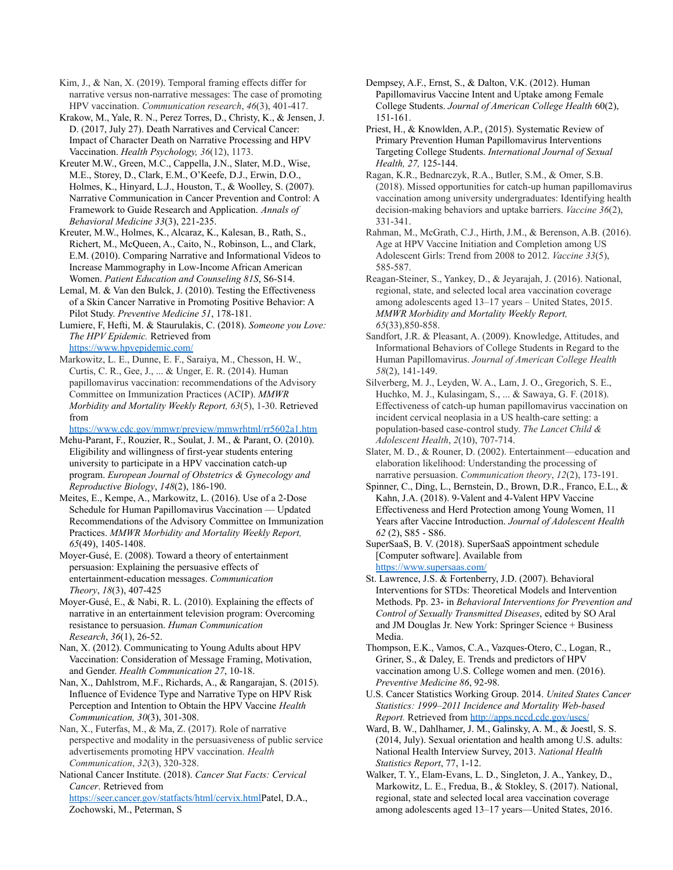Kim, J., & Nan, X. (2019). Temporal framing effects differ for narrative versus non-narrative messages: The case of promoting HPV vaccination. *Communication research*, *46*(3), 401-417.

Krakow, M., Yale, R. N., Perez Torres, D., Christy, K., & Jensen, J. D. (2017, July 27). Death Narratives and Cervical Cancer: Impact of Character Death on Narrative Processing and HPV Vaccination. *Health Psychology, 36*(12), 1173.

Kreuter M.W., Green, M.C., Cappella, J.N., Slater, M.D., Wise, M.E., Storey, D., Clark, E.M., O'Keefe, D.J., Erwin, D.O., Holmes, K., Hinyard, L.J., Houston, T., & Woolley, S. (2007). Narrative Communication in Cancer Prevention and Control: A Framework to Guide Research and Application. *Annals of Behavioral Medicine 33*(3), 221-235.

Kreuter, M.W., Holmes, K., Alcaraz, K., Kalesan, B., Rath, S., Richert, M., McQueen, A., Caito, N., Robinson, L., and Clark, E.M. (2010). Comparing Narrative and Informational Videos to Increase Mammography in Low-Income African American Women. *Patient Education and Counseling 81S*, S6-S14.

Lemal, M. & Van den Bulck, J. (2010). Testing the Effectiveness of a Skin Cancer Narrative in Promoting Positive Behavior: A Pilot Study. *Preventive Medicine 51*, 178-181.

Lumiere, F, Hefti, M. & Staurulakis, C. (2018). *Someone you Love: The HPV Epidemic.* Retrieved from <https://www.hpvepidemic.com/>

Markowitz, L. E., Dunne, E. F., Saraiya, M., Chesson, H. W., Curtis, C. R., Gee, J., ... & Unger, E. R. (2014). Human papillomavirus vaccination: recommendations of the Advisory Committee on Immunization Practices (ACIP). *MMWR Morbidity and Mortality Weekly Report, 63*(5), 1-30. Retrieved from

<https://www.cdc.gov/mmwr/preview/mmwrhtml/rr5602a1.htm>

Mehu-Parant, F., Rouzier, R., Soulat, J. M., & Parant, O. (2010). Eligibility and willingness of first-year students entering university to participate in a HPV vaccination catch-up program. *European Journal of Obstetrics & Gynecology and Reproductive Biology*, *148*(2), 186-190.

Meites, E., Kempe, A., Markowitz, L. (2016). Use of a 2-Dose Schedule for Human Papillomavirus Vaccination — Updated Recommendations of the Advisory Committee on Immunization Practices. *MMWR Morbidity and Mortality Weekly Report, 65*(49), 1405-1408.

Moyer-Gusé, E. (2008). Toward a theory of entertainment persuasion: Explaining the persuasive effects of entertainment-education messages. *Communication Theory*, *18*(3), 407-425

Moyer-Gusé, E., & Nabi, R. L. (2010). Explaining the effects of narrative in an entertainment television program: Overcoming resistance to persuasion. *Human Communication Research*, *36*(1), 26-52.

Nan, X. (2012). Communicating to Young Adults about HPV Vaccination: Consideration of Message Framing, Motivation, and Gender. *Health Communication 27*, 10-18.

Nan, X., Dahlstrom, M.F., Richards, A., & Rangarajan, S. (2015). Influence of Evidence Type and Narrative Type on HPV Risk Perception and Intention to Obtain the HPV Vaccine *Health Communication, 30*(3), 301-308.

Nan, X., Futerfas, M., & Ma, Z. (2017). Role of narrative perspective and modality in the persuasiveness of public service advertisements promoting HPV vaccination. *Health Communication*, *32*(3), 320-328.

National Cancer Institute. (2018). *Cancer Stat Facts: Cervical Cancer*. Retrieved from [https://seer.cancer.gov/statfacts/html/cervix.htmlP](https://seer.cancer.gov/statfacts/html/cervix.html)atel, D.A., Zochowski, M., Peterman, S

Dempsey, A.F., Ernst, S., & Dalton, V.K. (2012). Human Papillomavirus Vaccine Intent and Uptake among Female College Students. *Journal of American College Health* 60(2), 151-161.

Priest, H., & Knowlden, A.P., (2015). Systematic Review of Primary Prevention Human Papillomavirus Interventions Targeting College Students. *International Journal of Sexual Health, 27,* 125-144.

Ragan, K.R., Bednarczyk, R.A., Butler, S.M., & Omer, S.B. (2018). Missed opportunities for catch-up human papillomavirus vaccination among university undergraduates: Identifying health decision-making behaviors and uptake barriers. *Vaccine 36*(2), 331-341.

Rahman, M., McGrath, C.J., Hirth, J.M., & Berenson, A.B. (2016). Age at HPV Vaccine Initiation and Completion among US Adolescent Girls: Trend from 2008 to 2012. *Vaccine 33*(5), 585-587.

Reagan-Steiner, S., Yankey, D., & Jeyarajah, J. (2016). National, regional, state, and selected local area vaccination coverage among adolescents aged 13–17 years – United States, 2015. *MMWR Morbidity and Mortality Weekly Report, 65*(33),850-858.

Sandfort, J.R. & Pleasant, A. (2009). Knowledge, Attitudes, and Informational Behaviors of College Students in Regard to the Human Papillomavirus. *Journal of American College Health 58*(2), 141-149.

Silverberg, M. J., Leyden, W. A., Lam, J. O., Gregorich, S. E., Huchko, M. J., Kulasingam, S., ... & Sawaya, G. F. (2018). Effectiveness of catch-up human papillomavirus vaccination on incident cervical neoplasia in a US health-care setting: a population-based case-control study. *The Lancet Child & Adolescent Health*, *2*(10), 707-714.

Slater, M. D., & Rouner, D. (2002). Entertainment—education and elaboration likelihood: Understanding the processing of narrative persuasion. *Communication theory*, *12*(2), 173-191.

Spinner, C., Ding, L., Bernstein, D., Brown, D.R., Franco, E.L., & Kahn, J.A. (2018). 9-Valent and 4-Valent HPV Vaccine Effectiveness and Herd Protection among Young Women, 11 Years after Vaccine Introduction. *Journal of Adolescent Health 62* (2), S85 - S86.

SuperSaaS, B. V. (2018). SuperSaaS appointment schedule [Computer software]. Available from <https://www.supersaas.com/>

St. Lawrence, J.S. & Fortenberry, J.D. (2007). Behavioral Interventions for STDs: Theoretical Models and Intervention Methods. Pp. 23- in *Behavioral Interventions for Prevention and Control of Sexually Transmitted Diseases*, edited by SO Aral and JM Douglas Jr. New York: Springer Science + Business Media.

Thompson, E.K., Vamos, C.A., Vazques-Otero, C., Logan, R., Griner, S., & Daley, E. Trends and predictors of HPV vaccination among U.S. College women and men. (2016). *Preventive Medicine 86*, 92-98.

U.S. Cancer Statistics Working Group. 2014. *United States Cancer Statistics: 1999–2011 Incidence and Mortality Web-based Report.* Retrieved from <http://apps.nccd.cdc.gov/uscs/>

Ward, B. W., Dahlhamer, J. M., Galinsky, A. M., & Joestl, S. S. (2014, July). Sexual orientation and health among U.S. adults: National Health Interview Survey, 2013. *National Health Statistics Report*, 77, 1-12.

Walker, T. Y., Elam-Evans, L. D., Singleton, J. A., Yankey, D., Markowitz, L. E., Fredua, B., & Stokley, S. (2017). National, regional, state and selected local area vaccination coverage among adolescents aged 13–17 years—United States, 2016.